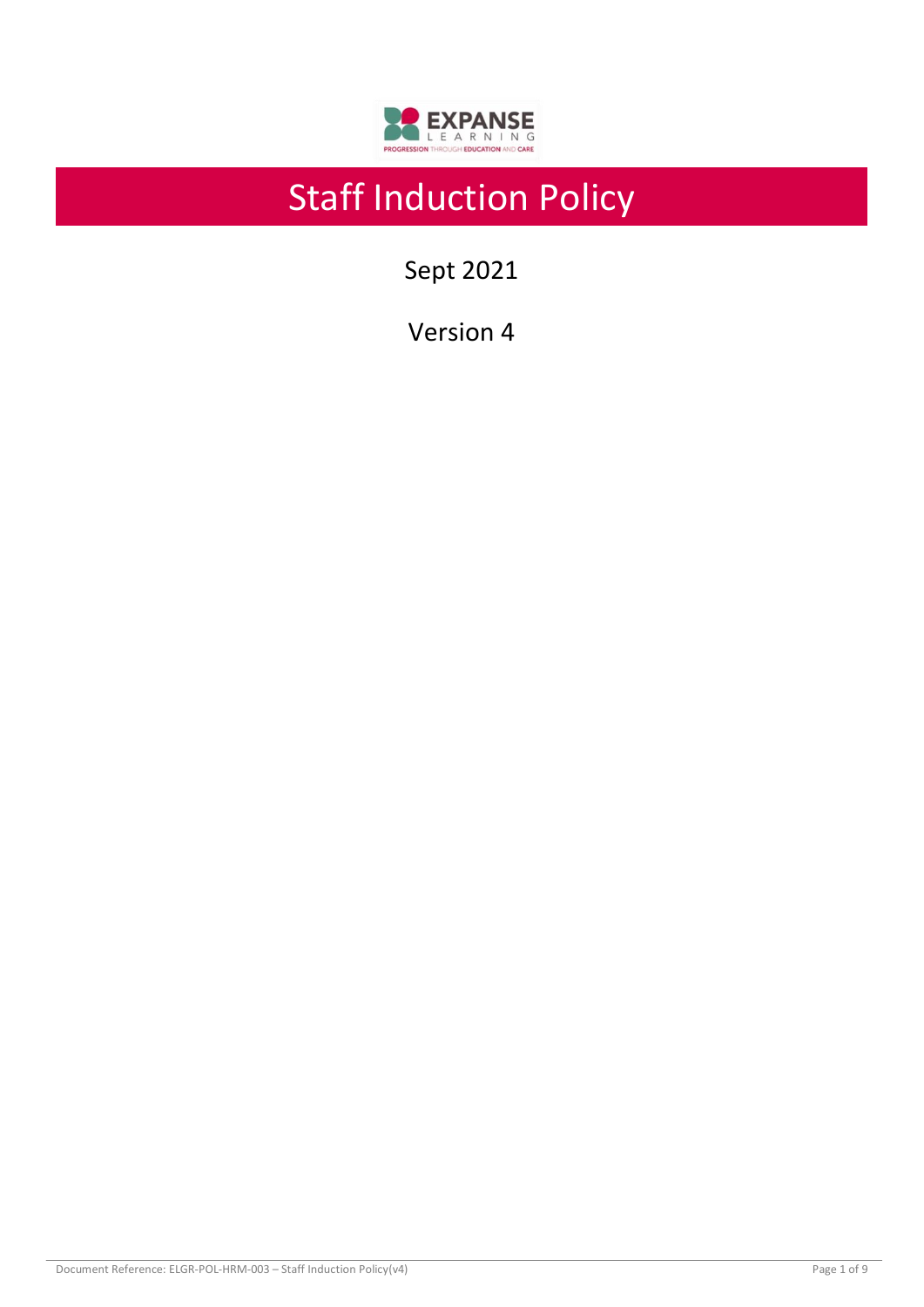

# Staff Induction Policy

Sept 2021

Version 4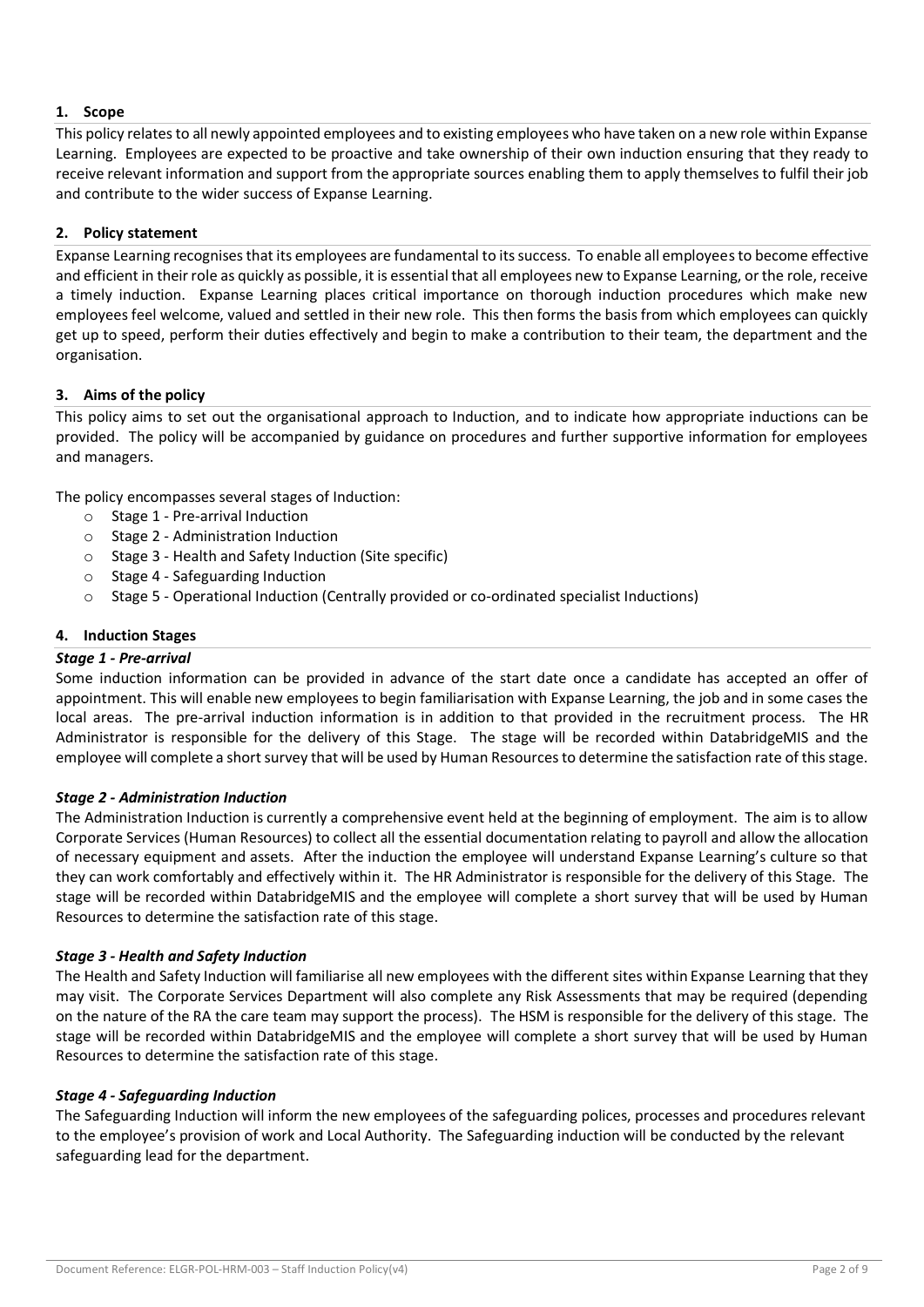## **1. Scope**

This policy relates to all newly appointed employees and to existing employees who have taken on a new role within Expanse Learning. Employees are expected to be proactive and take ownership of their own induction ensuring that they ready to receive relevant information and support from the appropriate sources enabling them to apply themselves to fulfil their job and contribute to the wider success of Expanse Learning.

#### **2. Policy statement**

Expanse Learning recognises that its employees are fundamental to its success. To enable all employeesto become effective and efficient in their role as quickly as possible, it is essential that all employees new to Expanse Learning, or the role, receive a timely induction. Expanse Learning places critical importance on thorough induction procedures which make new employees feel welcome, valued and settled in their new role. This then forms the basis from which employees can quickly get up to speed, perform their duties effectively and begin to make a contribution to their team, the department and the organisation.

## **3. Aims of the policy**

This policy aims to set out the organisational approach to Induction, and to indicate how appropriate inductions can be provided. The policy will be accompanied by guidance on procedures and further supportive information for employees and managers.

The policy encompasses several stages of Induction:

- o Stage 1 Pre-arrival Induction
- o Stage 2 Administration Induction
- o Stage 3 Health and Safety Induction (Site specific)
- o Stage 4 Safeguarding Induction
- o Stage 5 Operational Induction (Centrally provided or co-ordinated specialist Inductions)

#### **4. Induction Stages**

#### *Stage 1 - Pre-arrival*

Some induction information can be provided in advance of the start date once a candidate has accepted an offer of appointment. This will enable new employees to begin familiarisation with Expanse Learning, the job and in some cases the local areas. The pre-arrival induction information is in addition to that provided in the recruitment process. The HR Administrator is responsible for the delivery of this Stage. The stage will be recorded within DatabridgeMIS and the employee will complete a short survey that will be used by Human Resources to determine the satisfaction rate of this stage.

#### *Stage 2 - Administration Induction*

The Administration Induction is currently a comprehensive event held at the beginning of employment. The aim is to allow Corporate Services (Human Resources) to collect all the essential documentation relating to payroll and allow the allocation of necessary equipment and assets. After the induction the employee will understand Expanse Learning's culture so that they can work comfortably and effectively within it. The HR Administrator is responsible for the delivery of this Stage. The stage will be recorded within DatabridgeMIS and the employee will complete a short survey that will be used by Human Resources to determine the satisfaction rate of this stage.

#### *Stage 3 - Health and Safety Induction*

The Health and Safety Induction will familiarise all new employees with the different sites within Expanse Learning that they may visit. The Corporate Services Department will also complete any Risk Assessments that may be required (depending on the nature of the RA the care team may support the process). The HSM is responsible for the delivery of this stage. The stage will be recorded within DatabridgeMIS and the employee will complete a short survey that will be used by Human Resources to determine the satisfaction rate of this stage.

#### *Stage 4 - Safeguarding Induction*

The Safeguarding Induction will inform the new employees of the safeguarding polices, processes and procedures relevant to the employee's provision of work and Local Authority. The Safeguarding induction will be conducted by the relevant safeguarding lead for the department.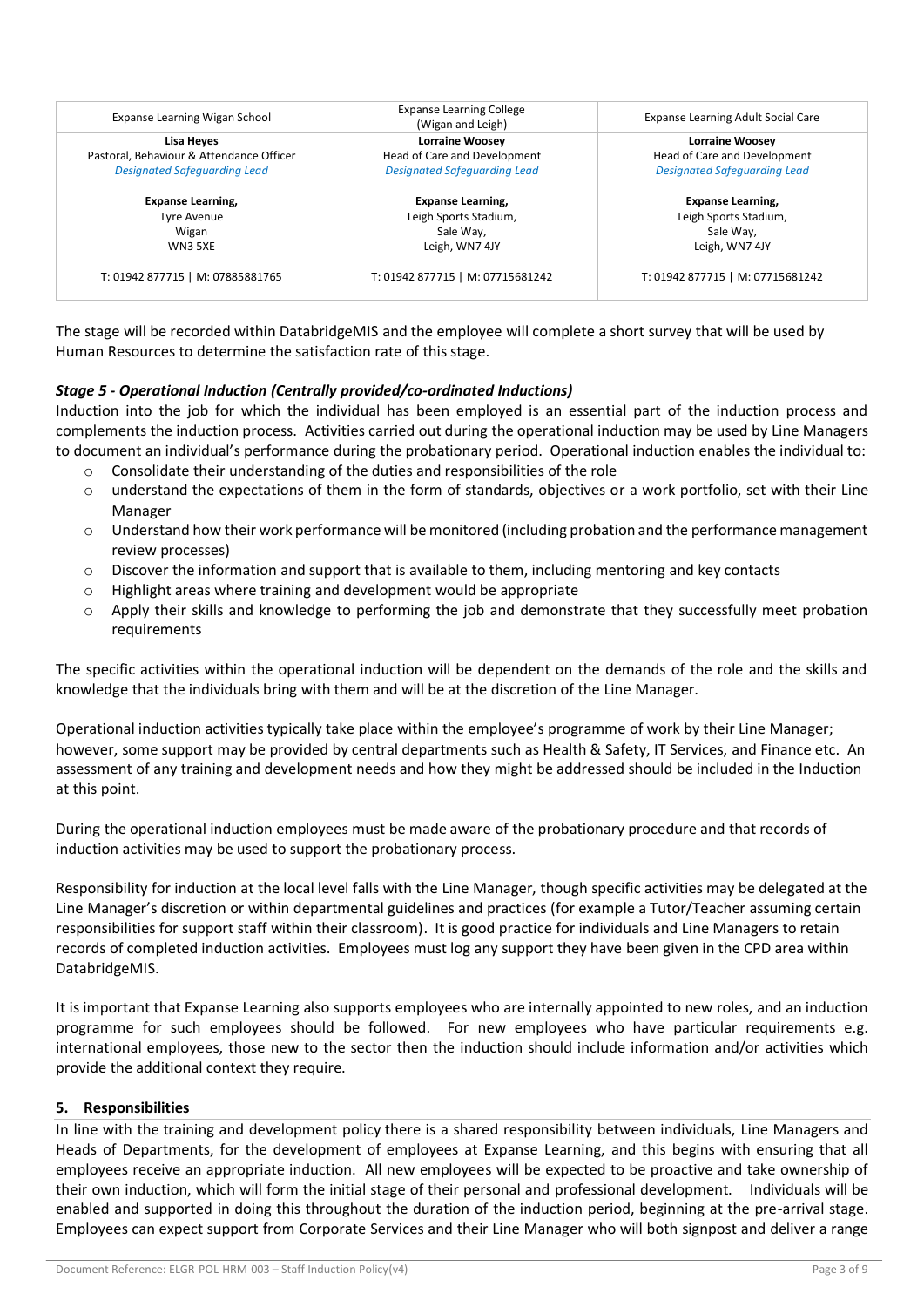| Expanse Learning Wigan School            | <b>Expanse Learning College</b><br>(Wigan and Leigh) | Expanse Learning Adult Social Care<br><b>Lorraine Woosey</b> |  |
|------------------------------------------|------------------------------------------------------|--------------------------------------------------------------|--|
| Lisa Heyes                               | <b>Lorraine Woosey</b>                               |                                                              |  |
| Pastoral, Behaviour & Attendance Officer | Head of Care and Development                         | Head of Care and Development                                 |  |
| <b>Designated Safeguarding Lead</b>      | <b>Designated Safeguarding Lead</b>                  | <b>Designated Safeguarding Lead</b>                          |  |
| <b>Expanse Learning,</b>                 | <b>Expanse Learning,</b>                             | <b>Expanse Learning,</b>                                     |  |
| Tyre Avenue                              | Leigh Sports Stadium,                                | Leigh Sports Stadium,                                        |  |
| Wigan                                    | Sale Way,                                            | Sale Way,                                                    |  |
| <b>WN3 5XE</b>                           | Leigh, WN7 4JY                                       | Leigh, WN7 4JY                                               |  |
| T: 01942 877715   M: 07885881765         | T: 01942 877715   M: 07715681242                     | T: 01942 877715   M: 07715681242                             |  |

The stage will be recorded within DatabridgeMIS and the employee will complete a short survey that will be used by Human Resources to determine the satisfaction rate of this stage.

#### *Stage 5 - Operational Induction (Centrally provided/co-ordinated Inductions)*

Induction into the job for which the individual has been employed is an essential part of the induction process and complements the induction process. Activities carried out during the operational induction may be used by Line Managers to document an individual's performance during the probationary period. Operational induction enables the individual to:

- o Consolidate their understanding of the duties and responsibilities of the role
- o understand the expectations of them in the form of standards, objectives or a work portfolio, set with their Line Manager
- $\circ$  Understand how their work performance will be monitored (including probation and the performance management review processes)
- $\circ$  Discover the information and support that is available to them, including mentoring and key contacts
- o Highlight areas where training and development would be appropriate
- o Apply their skills and knowledge to performing the job and demonstrate that they successfully meet probation requirements

The specific activities within the operational induction will be dependent on the demands of the role and the skills and knowledge that the individuals bring with them and will be at the discretion of the Line Manager.

Operational induction activities typically take place within the employee's programme of work by their Line Manager; however, some support may be provided by central departments such as Health & Safety, IT Services, and Finance etc. An assessment of any training and development needs and how they might be addressed should be included in the Induction at this point.

During the operational induction employees must be made aware of the probationary procedure and that records of induction activities may be used to support the probationary process.

Responsibility for induction at the local level falls with the Line Manager, though specific activities may be delegated at the Line Manager's discretion or within departmental guidelines and practices (for example a Tutor/Teacher assuming certain responsibilities for support staff within their classroom). It is good practice for individuals and Line Managers to retain records of completed induction activities. Employees must log any support they have been given in the CPD area within DatabridgeMIS.

It is important that Expanse Learning also supports employees who are internally appointed to new roles, and an induction programme for such employees should be followed. For new employees who have particular requirements e.g. international employees, those new to the sector then the induction should include information and/or activities which provide the additional context they require.

#### **5. Responsibilities**

In line with the training and development policy there is a shared responsibility between individuals, Line Managers and Heads of Departments, for the development of employees at Expanse Learning, and this begins with ensuring that all employees receive an appropriate induction. All new employees will be expected to be proactive and take ownership of their own induction, which will form the initial stage of their personal and professional development. Individuals will be enabled and supported in doing this throughout the duration of the induction period, beginning at the pre-arrival stage. Employees can expect support from Corporate Services and their Line Manager who will both signpost and deliver a range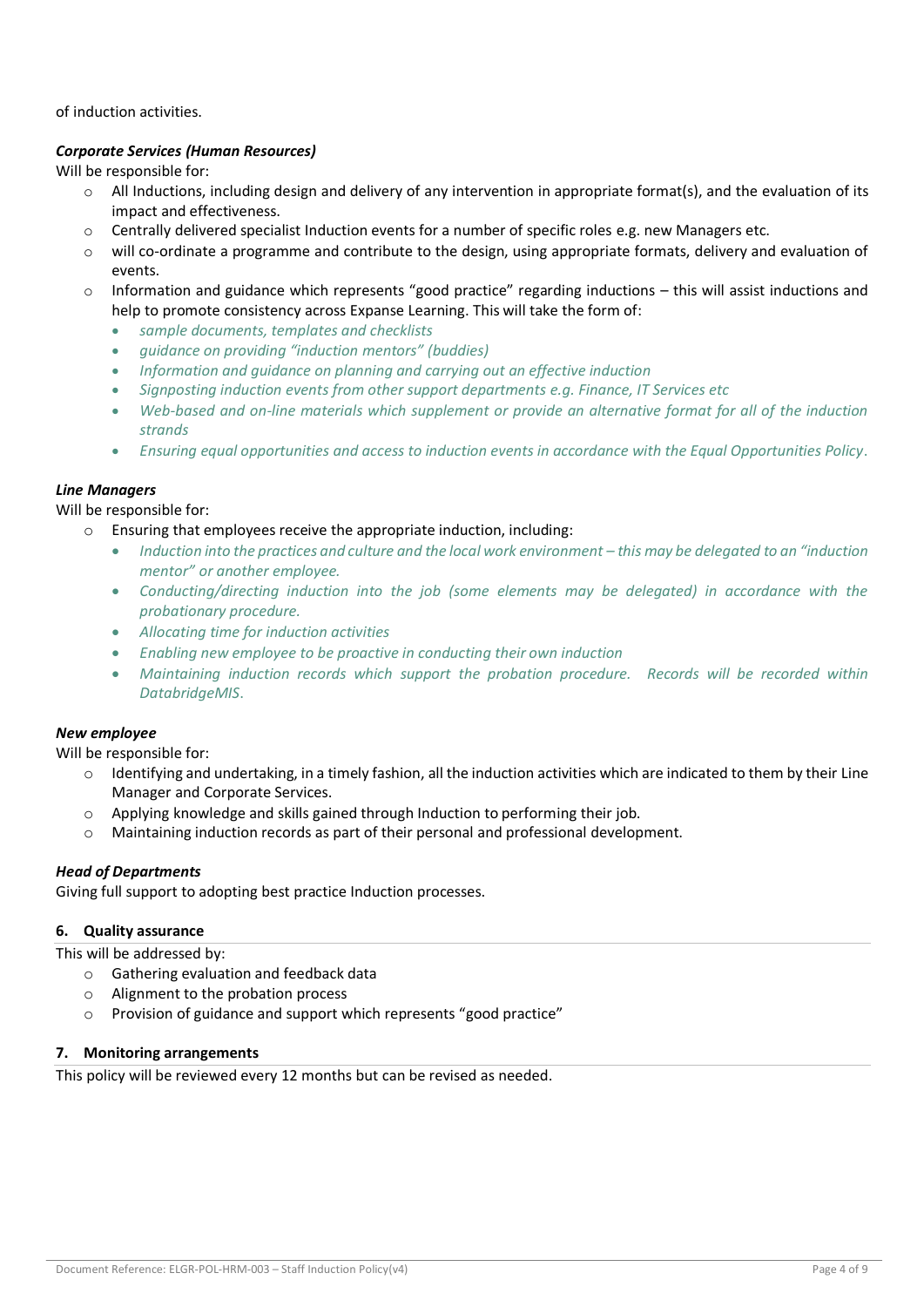of induction activities.

## *Corporate Services (Human Resources)*

Will be responsible for:

- $\circ$  All Inductions, including design and delivery of any intervention in appropriate format(s), and the evaluation of its impact and effectiveness.
- $\circ$  Centrally delivered specialist Induction events for a number of specific roles e.g. new Managers etc.
- $\circ$  will co-ordinate a programme and contribute to the design, using appropriate formats, delivery and evaluation of events.
- Information and guidance which represents "good practice" regarding inductions this will assist inductions and help to promote consistency across Expanse Learning. This will take the form of:
	- *sample documents, templates and checklists*
	- *guidance on providing "induction mentors" (buddies)*
	- *Information and guidance on planning and carrying out an effective induction*
	- *Signposting induction events from other support departments e.g. Finance, IT Services etc*
	- *Web-based and on-line materials which supplement or provide an alternative format for all of the induction strands*
	- *Ensuring equal opportunities and access to induction events in accordance with the Equal Opportunities Policy*.

## *Line Managers*

Will be responsible for:

- Ensuring that employees receive the appropriate induction, including:
	- *Induction into the practices and culture and the local work environment – this may be delegated to an "induction mentor" or another employee.*
	- *Conducting/directing induction into the job (some elements may be delegated) in accordance with the probationary procedure.*
	- *Allocating time for induction activities*
	- *Enabling new employee to be proactive in conducting their own induction*
	- *Maintaining induction records which support the probation procedure. Records will be recorded within DatabridgeMIS*.

#### *New employee*

Will be responsible for:

- $\circ$  Identifying and undertaking, in a timely fashion, all the induction activities which are indicated to them by their Line Manager and Corporate Services.
- $\circ$  Applying knowledge and skills gained through Induction to performing their job.
- o Maintaining induction records as part of their personal and professional development.

#### *Head of Departments*

Giving full support to adopting best practice Induction processes.

#### **6. Quality assurance**

This will be addressed by:

- o Gathering evaluation and feedback data
- o Alignment to the probation process
- o Provision of guidance and support which represents "good practice"

#### **7. Monitoring arrangements**

This policy will be reviewed every 12 months but can be revised as needed.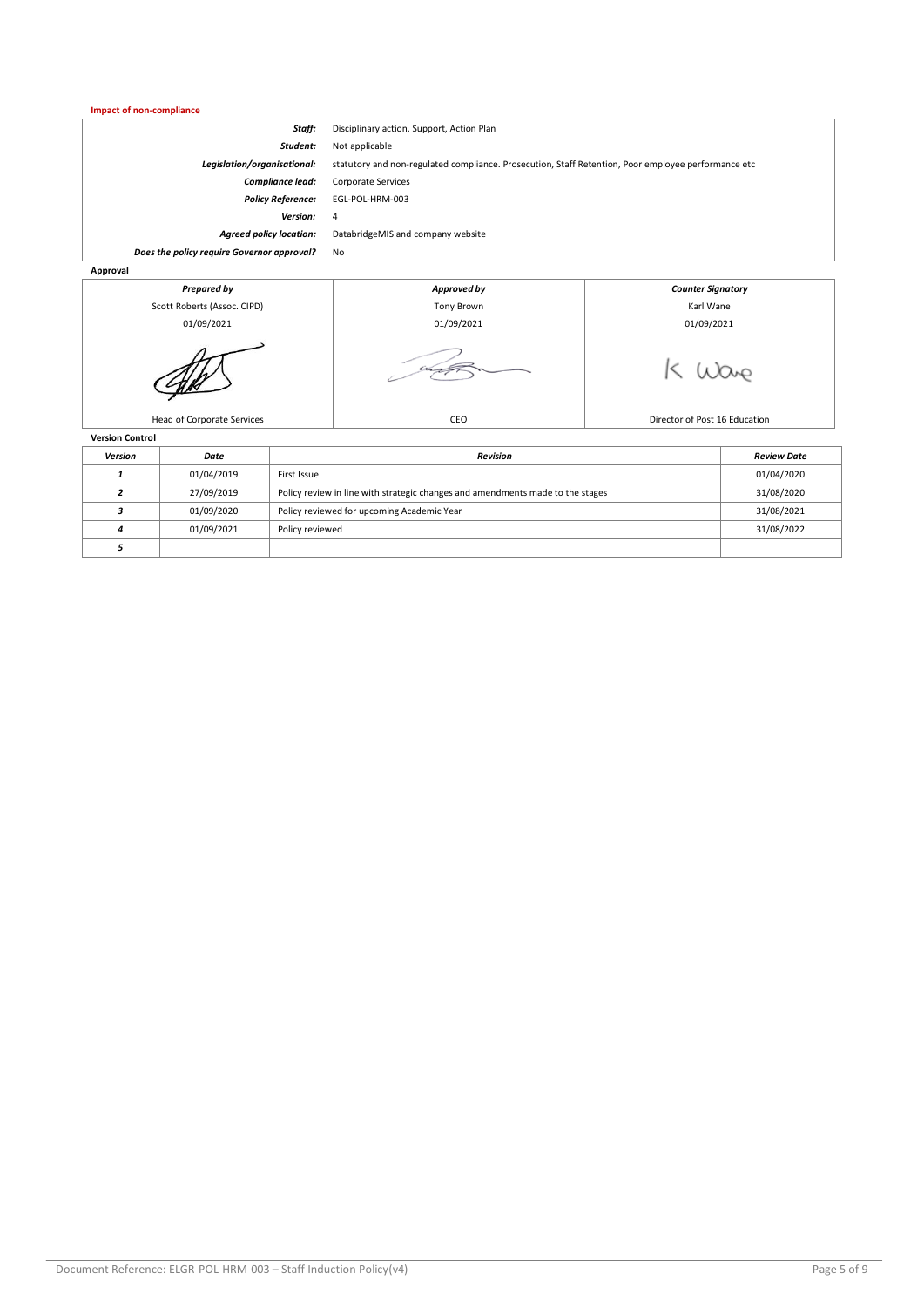#### **Impact of non-compliance**

| <b>Prepared by</b>                         | Approved by                                                                                         | <b>Counter Signatory</b> |  |
|--------------------------------------------|-----------------------------------------------------------------------------------------------------|--------------------------|--|
| Approval                                   |                                                                                                     |                          |  |
| Does the policy require Governor approval? | No                                                                                                  |                          |  |
| <b>Agreed policy location:</b>             | DatabridgeMIS and company website                                                                   |                          |  |
| <b>Version:</b>                            | 4                                                                                                   |                          |  |
| <b>Policy Reference:</b>                   | EGL-POL-HRM-003                                                                                     |                          |  |
| Compliance lead:                           | <b>Corporate Services</b>                                                                           |                          |  |
| Legislation/organisational:                | statutory and non-regulated compliance. Prosecution, Staff Retention, Poor employee performance etc |                          |  |
| Student:                                   | Not applicable                                                                                      |                          |  |
| Staff:                                     | Disciplinary action, Support, Action Plan                                                           |                          |  |
|                                            |                                                                                                     |                          |  |



| Version | Date       | Revision                                                                       | <b>Review Date</b> |
|---------|------------|--------------------------------------------------------------------------------|--------------------|
|         | 01/04/2019 | First Issue                                                                    | 01/04/2020         |
|         | 27/09/2019 | Policy review in line with strategic changes and amendments made to the stages | 31/08/2020         |
|         | 01/09/2020 | Policy reviewed for upcoming Academic Year                                     | 31/08/2021         |
|         | 01/09/2021 | Policy reviewed                                                                | 31/08/2022         |
|         |            |                                                                                |                    |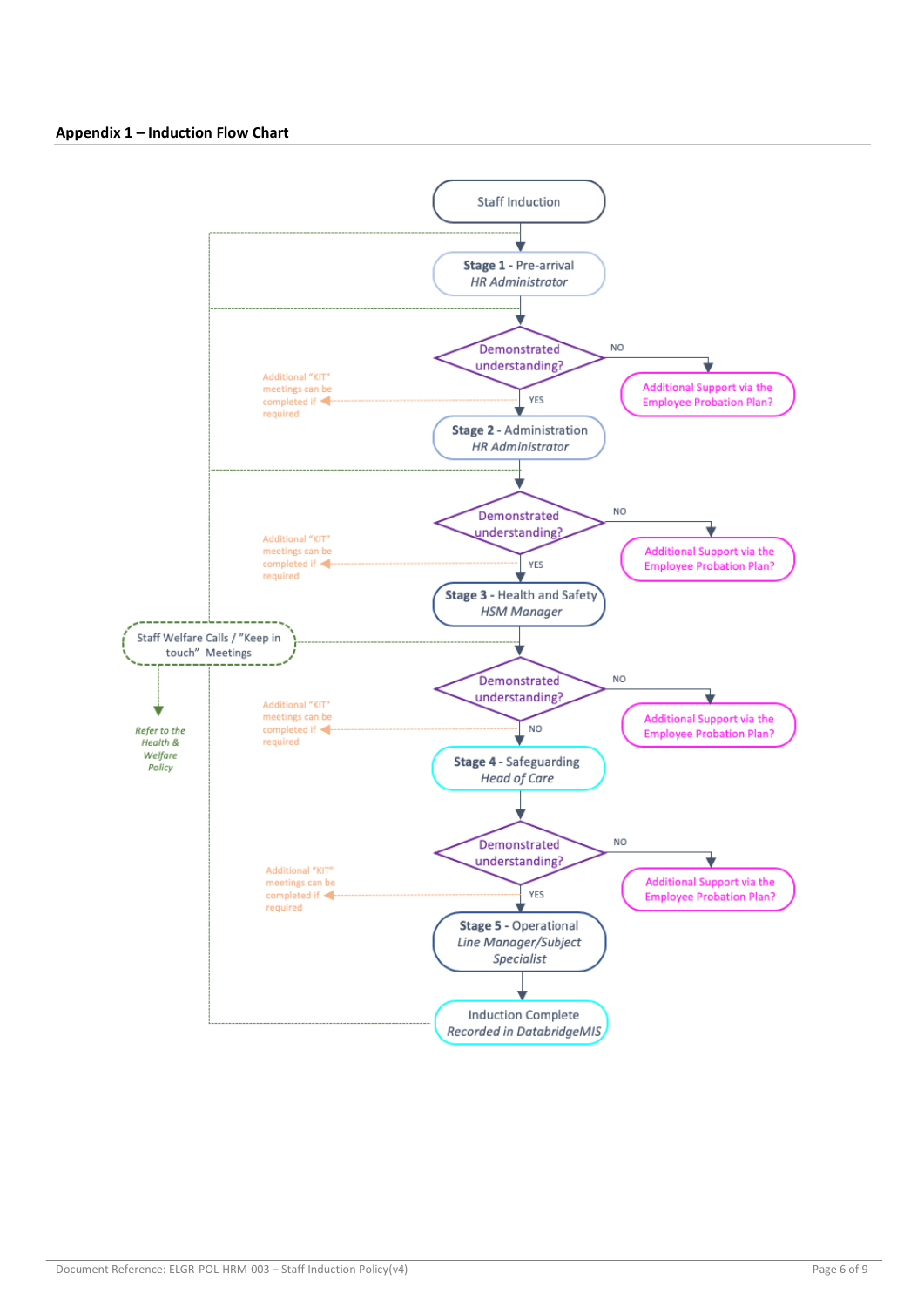#### **Appendix 1 – Induction Flow Chart**

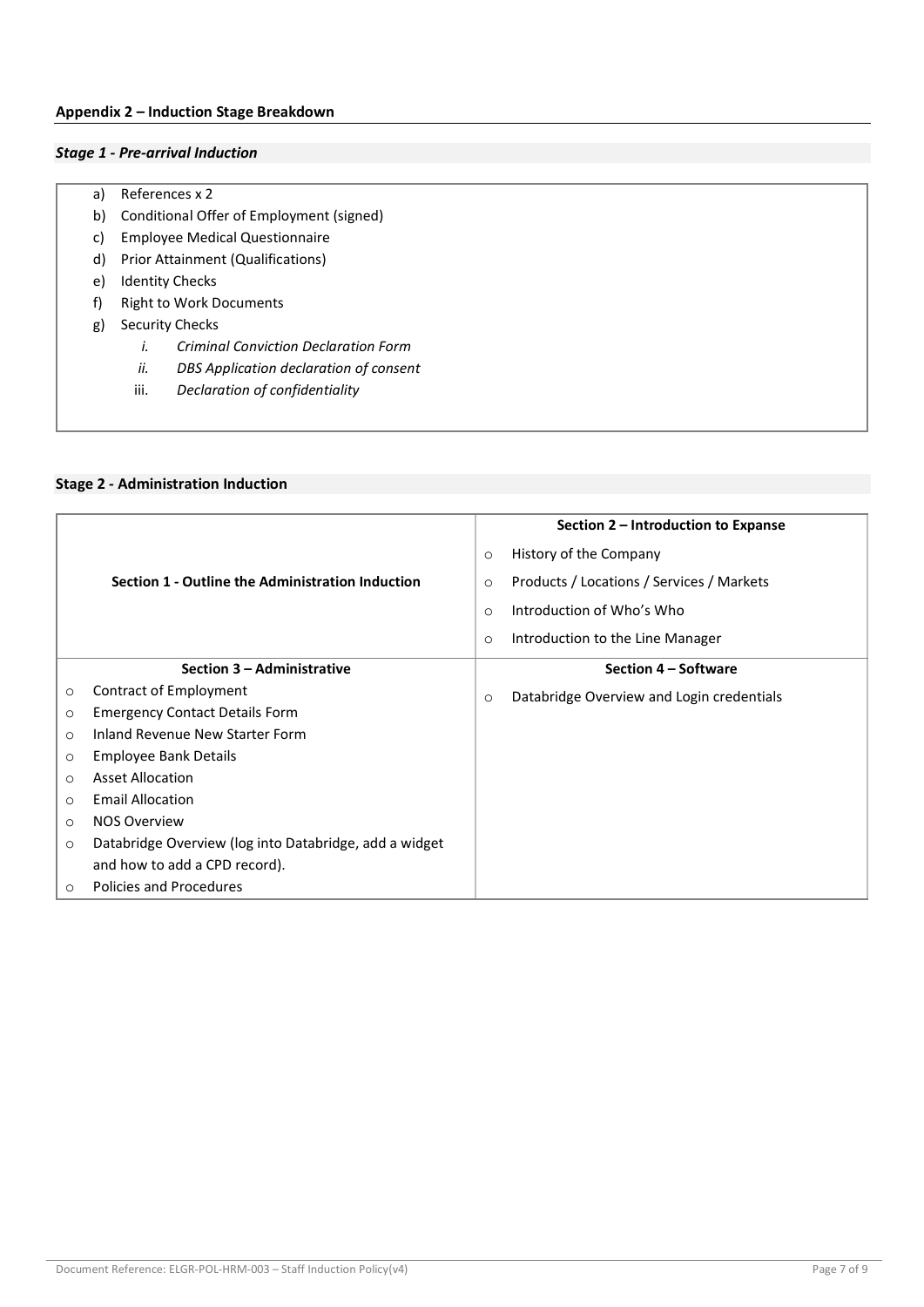#### **Appendix 2 – Induction Stage Breakdown**

#### *Stage 1 - Pre-arrival Induction*

- a) References x 2
- b) Conditional Offer of Employment (signed)
- c) Employee Medical Questionnaire
- d) Prior Attainment (Qualifications)
- e) Identity Checks
- f) Right to Work Documents
- g) Security Checks
	- *i. Criminal Conviction Declaration Form*
	- *ii. DBS Application declaration of consent*
	- iii. *Declaration of confidentiality*

|         |                                                        |         | Section 2 – Introduction to Expanse       |
|---------|--------------------------------------------------------|---------|-------------------------------------------|
|         |                                                        | $\circ$ | History of the Company                    |
|         | Section 1 - Outline the Administration Induction       | $\circ$ | Products / Locations / Services / Markets |
|         |                                                        | $\circ$ | Introduction of Who's Who                 |
|         |                                                        | $\circ$ | Introduction to the Line Manager          |
|         | Section 3 - Administrative                             |         | Section 4 - Software                      |
| $\circ$ | Contract of Employment                                 | $\circ$ | Databridge Overview and Login credentials |
| $\circ$ | <b>Emergency Contact Details Form</b>                  |         |                                           |
| $\circ$ | Inland Revenue New Starter Form                        |         |                                           |
| $\circ$ | Employee Bank Details                                  |         |                                           |
| $\circ$ | <b>Asset Allocation</b>                                |         |                                           |
| $\circ$ | <b>Email Allocation</b>                                |         |                                           |
| $\circ$ | <b>NOS Overview</b>                                    |         |                                           |
| $\circ$ | Databridge Overview (log into Databridge, add a widget |         |                                           |
|         | and how to add a CPD record).                          |         |                                           |
| $\circ$ | Policies and Procedures                                |         |                                           |

#### **Stage 2 - Administration Induction**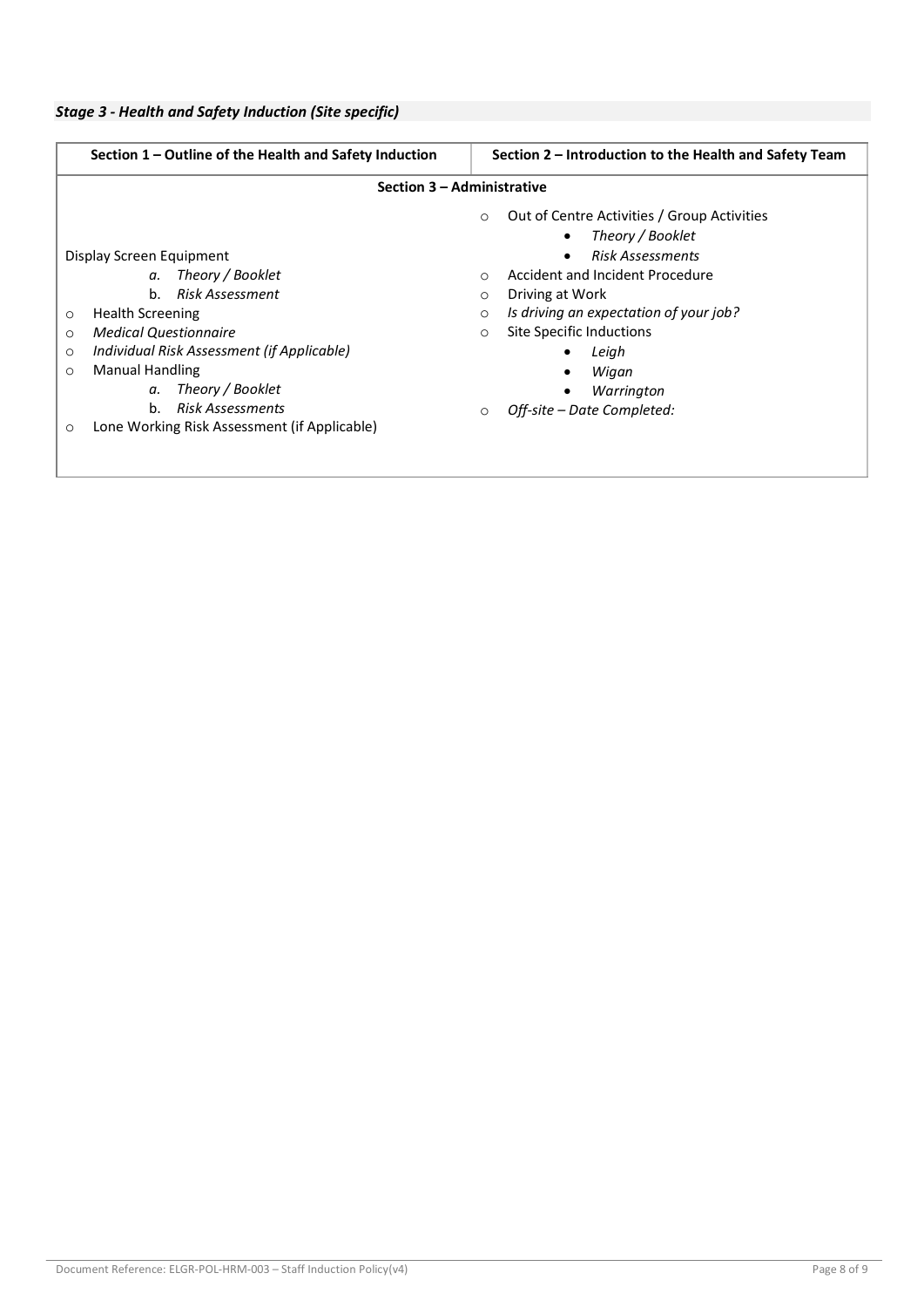| Section 1 – Outline of the Health and Safety Induction                                                                                                                                                            | Section 2 – Introduction to the Health and Safety Team                                                                                                                                                                                                                                                                         |  |  |
|-------------------------------------------------------------------------------------------------------------------------------------------------------------------------------------------------------------------|--------------------------------------------------------------------------------------------------------------------------------------------------------------------------------------------------------------------------------------------------------------------------------------------------------------------------------|--|--|
| Section 3 - Administrative                                                                                                                                                                                        |                                                                                                                                                                                                                                                                                                                                |  |  |
| Display Screen Equipment<br>a. Theory / Booklet<br>Risk Assessment<br>$h_{-}$<br><b>Health Screening</b><br>$\circ$<br><b>Medical Questionnaire</b><br>$\circ$<br>Individual Risk Assessment (if Applicable)<br>O | Out of Centre Activities / Group Activities<br>$\circ$<br>Theory / Booklet<br>$\bullet$<br><b>Risk Assessments</b><br>$\bullet$<br>Accident and Incident Procedure<br>$\Omega$<br>Driving at Work<br>$\circ$<br>Is driving an expectation of your job?<br>$\circ$<br>Site Specific Inductions<br>$\circ$<br>Leigh<br>$\bullet$ |  |  |
| <b>Manual Handling</b><br>$\circ$<br>Theory / Booklet<br>α.<br><b>Risk Assessments</b><br>$h_{-}$<br>Lone Working Risk Assessment (if Applicable)<br>$\circ$                                                      | Wigan<br>Warrington<br>Off-site – Date Completed:<br>$\circ$                                                                                                                                                                                                                                                                   |  |  |